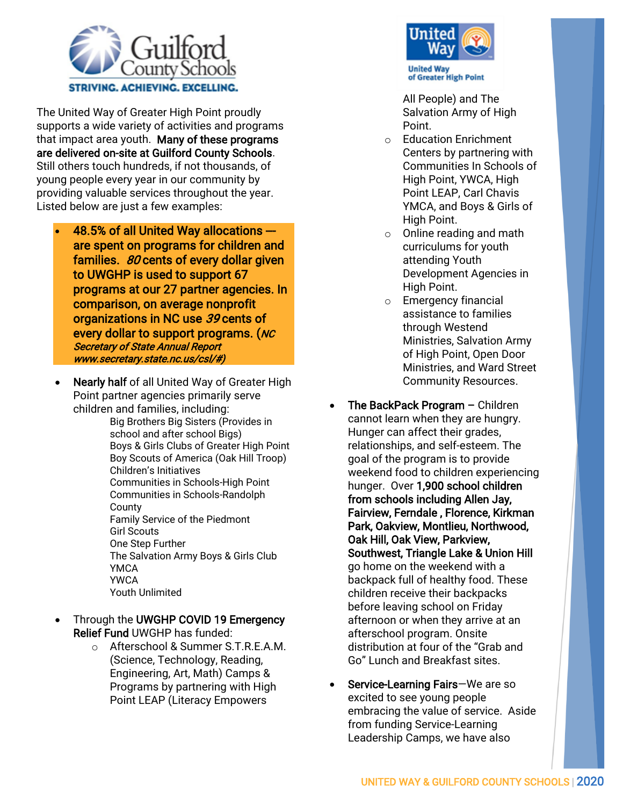

The United Way of Greater High Point proudly supports a wide variety of activities and programs that impact area youth. Many of these programs are delivered on-site at Guilford County Schools. Still others touch hundreds, if not thousands, of young people every year in our community by providing valuable services throughout the year. Listed below are just a few examples:

- 48.5% of all United Way allocations -- are spent on programs for children and families.  $80$  cents of every dollar given to UWGHP is used to support 67 programs at our 27 partner agencies. In comparison, on average nonprofit organizations in NC use 39 cents of every dollar to support programs. (NC Secretary of State Annual Report www.secretary.state.nc.us/csl/#)
- Nearly half of all United Way of Greater High Point partner agencies primarily serve children and families, including:

Big Brothers Big Sisters (Provides in school and after school Bigs) Boys & Girls Clubs of Greater High Point Boy Scouts of America (Oak Hill Troop) Children's Initiatives Communities in Schools-High Point Communities in Schools-Randolph **County** Family Service of the Piedmont Girl Scouts One Step Further The Salvation Army Boys & Girls Club **YMCA** YWCA Youth Unlimited

- Through the UWGHP COVID 19 Emergency Relief Fund UWGHP has funded:
	- o Afterschool & Summer S.T.R.E.A.M. (Science, Technology, Reading, Engineering, Art, Math) Camps & Programs by partnering with High Point LEAP (Literacy Empowers



All People) and The Salvation Army of High Point.

- o Education Enrichment Centers by partnering with Communities In Schools of High Point, YWCA, High Point LEAP, Carl Chavis YMCA, and Boys & Girls of High Point.
- o Online reading and math curriculums for youth attending Youth Development Agencies in High Point.
- o Emergency financial assistance to families through Westend Ministries, Salvation Army of High Point, Open Door Ministries, and Ward Street Community Resources.
- The BackPack Program Children cannot learn when they are hungry. Hunger can affect their grades, relationships, and self-esteem. The goal of the program is to provide weekend food to children experiencing hunger. Over 1,900 school children from schools including Allen Jay, Fairview, Ferndale , Florence, Kirkman Park, Oakview, Montlieu, Northwood, Oak Hill, Oak View, Parkview, Southwest, Triangle Lake & Union Hill go home on the weekend with a backpack full of healthy food. These children receive their backpacks before leaving school on Friday afternoon or when they arrive at an afterschool program. Onsite distribution at four of the "Grab and Go" Lunch and Breakfast sites.
- Service-Learning Fairs-We are so excited to see young people embracing the value of service. Aside from funding Service-Learning Leadership Camps, we have also